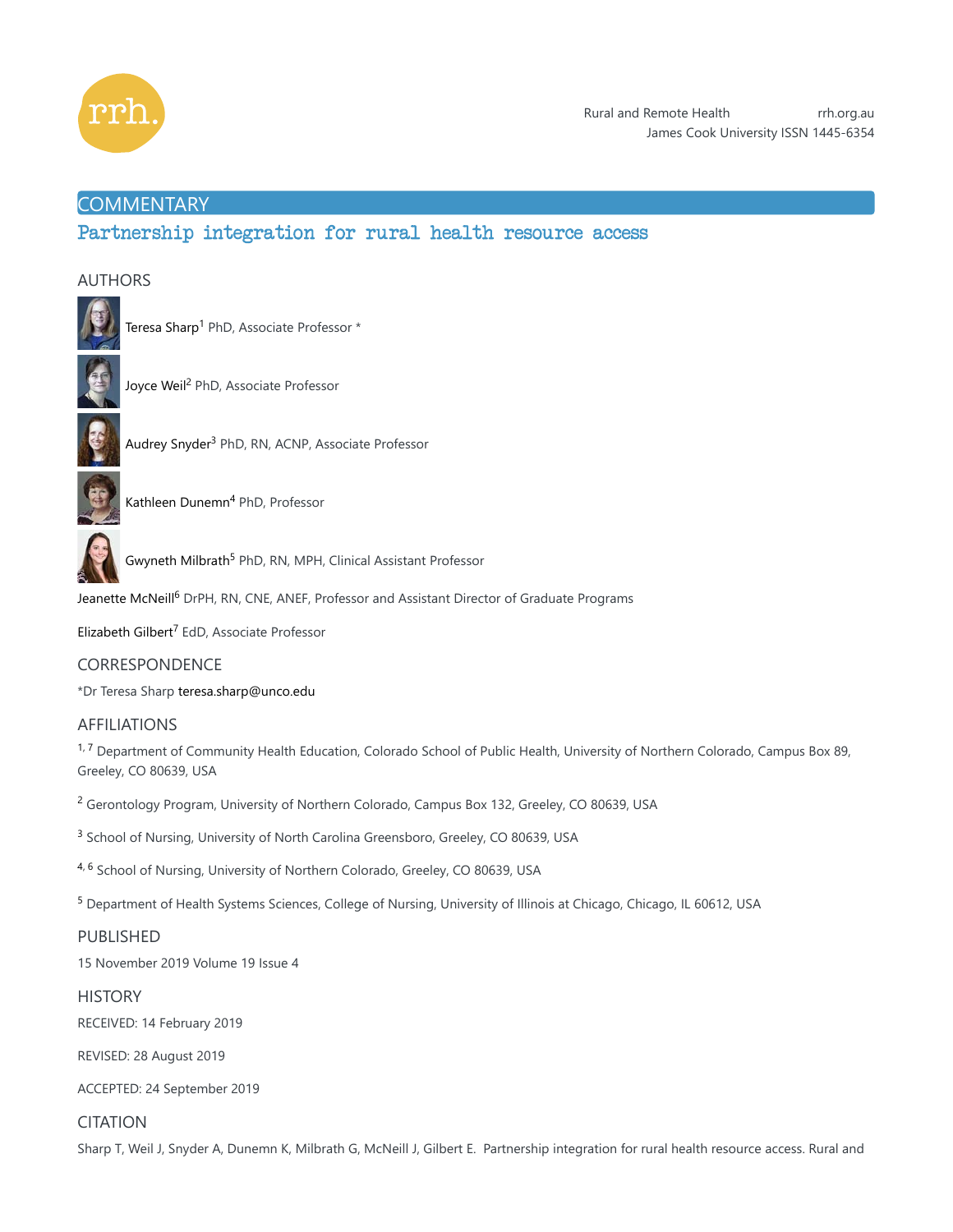

# **COMMENTARY**

# Partnership integration for rural health resource access

## AUTHORS



Teresa Sharp<sup>1</sup> PhD, Associate Professor \*



Joyce Weil<sup>2</sup> PhD, Associate Professor



Audrey Snyder<sup>3</sup> PhD, RN, ACNP, Associate Professor



Kathleen Dunemn<sup>4</sup> PhD, Professor



Gwyneth Milbrath<sup>5</sup> PhD, RN, MPH, Clinical Assistant Professor

Jeanette McNeill<sup>6</sup> DrPH, RN, CNE, ANEF, Professor and Assistant Director of Graduate Programs

Elizabeth Gilbert<sup>7</sup> EdD, Associate Professor

## CORRESPONDENCE

\*Dr Teresa Sharp teresa.sharp@unco.edu

## AFFILIATIONS

<sup>1,7</sup> Department of Community Health Education, Colorado School of Public Health, University of Northern Colorado, Campus Box 89, Greeley, CO 80639, USA

<sup>2</sup> Gerontology Program, University of Northern Colorado, Campus Box 132, Greeley, CO 80639, USA

<sup>3</sup> School of Nursing, University of North Carolina Greensboro, Greeley, CO 80639, USA

4, 6 School of Nursing, University of Northern Colorado, Greeley, CO 80639, USA

<sup>5</sup> Department of Health Systems Sciences, College of Nursing, University of Illinois at Chicago, Chicago, IL 60612, USA

## PUBLISHED

15 November 2019 Volume 19 Issue 4

## **HISTORY**

RECEIVED: 14 February 2019

REVISED: 28 August 2019

ACCEPTED: 24 September 2019

# CITATION

Sharp T, Weil J, Snyder A, Dunemn K, Milbrath G, McNeill J, Gilbert E. Partnership integration for rural health resource access. Rural and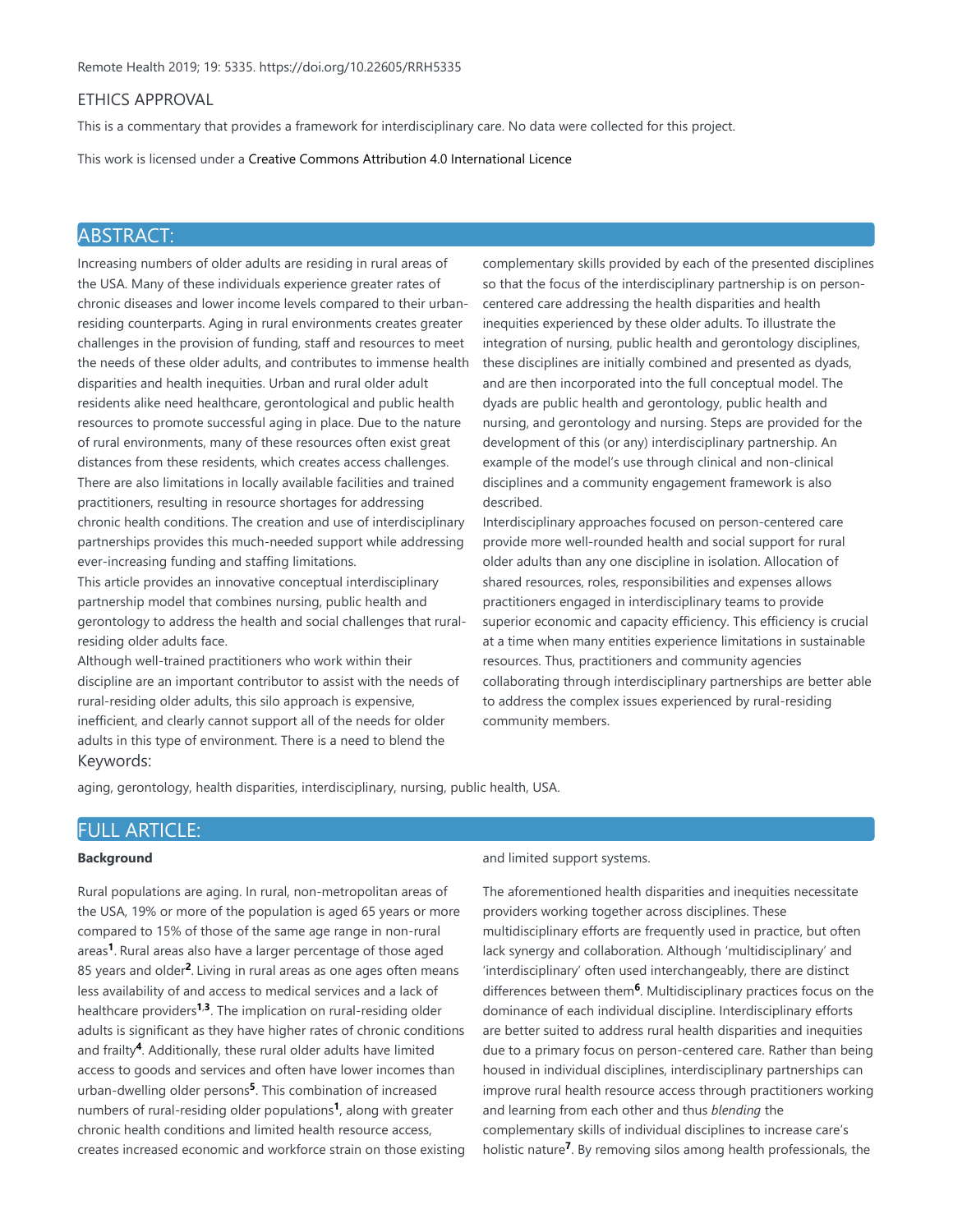### ETHICS APPROVAL

This is a commentary that provides a framework for interdisciplinary care. No data were collected for this project.

This work is licensed under a Creative Commons Attribution 4.0 International Licence

# ABSTRACT:

Increasing numbers of older adults are residing in rural areas of the USA. Many of these individuals experience greater rates of chronic diseases and lower income levels compared to their urbanresiding counterparts. Aging in rural environments creates greater challenges in the provision of funding, staff and resources to meet the needs of these older adults, and contributes to immense health disparities and health inequities. Urban and rural older adult residents alike need healthcare, gerontological and public health resources to promote successful aging in place. Due to the nature of rural environments, many of these resources often exist great distances from these residents, which creates access challenges. There are also limitations in locally available facilities and trained practitioners, resulting in resource shortages for addressing chronic health conditions. The creation and use of interdisciplinary partnerships provides this much-needed support while addressing ever-increasing funding and staffing limitations.

This article provides an innovative conceptual interdisciplinary partnership model that combines nursing, public health and gerontology to address the health and social challenges that ruralresiding older adults face.

Although well-trained practitioners who work within their discipline are an important contributor to assist with the needs of rural-residing older adults, this silo approach is expensive, inefficient, and clearly cannot support all of the needs for older adults in this type of environment. There is a need to blend the Keywords:

complementary skills provided by each of the presented disciplines so that the focus of the interdisciplinary partnership is on personcentered care addressing the health disparities and health inequities experienced by these older adults. To illustrate the integration of nursing, public health and gerontology disciplines, these disciplines are initially combined and presented as dyads, and are then incorporated into the full conceptual model. The dyads are public health and gerontology, public health and nursing, and gerontology and nursing. Steps are provided for the development of this (or any) interdisciplinary partnership. An example of the model's use through clinical and non-clinical disciplines and a community engagement framework is also described.

Interdisciplinary approaches focused on person-centered care provide more well-rounded health and social support for rural older adults than any one discipline in isolation. Allocation of shared resources, roles, responsibilities and expenses allows practitioners engaged in interdisciplinary teams to provide superior economic and capacity efficiency. This efficiency is crucial at a time when many entities experience limitations in sustainable resources. Thus, practitioners and community agencies collaborating through interdisciplinary partnerships are better able to address the complex issues experienced by rural-residing community members.

aging, gerontology, health disparities, interdisciplinary, nursing, public health, USA.

# FULL ARTICLE:

### **Background**

Rural populations are aging. In rural, non-metropolitan areas of the USA, 19% or more of the population is aged 65 years or more compared to 15% of those of the same age range in non-rural areas<sup>1</sup>. Rural areas also have a larger percentage of those aged 85 years and older<sup>2</sup>. Living in rural areas as one ages often means less availability of and access to medical services and a lack of healthcare providers<sup>1,3</sup>. The implication on rural-residing older adults is significant as they have higher rates of chronic conditions and frailty<sup>4</sup>. Additionally, these rural older adults have limited access to goods and services and often have lower incomes than urban-dwelling older persons<sup>5</sup>. This combination of increased numbers of rural-residing older populations<sup>1</sup>, along with greater chronic health conditions and limited health resource access, creates increased economic and workforce strain on those existing

and limited support systems.

The aforementioned health disparities and inequities necessitate providers working together across disciplines. These multidisciplinary efforts are frequently used in practice, but often lack synergy and collaboration. Although 'multidisciplinary' and 'interdisciplinary' often used interchangeably, there are distinct differences between them<sup>6</sup>. Multidisciplinary practices focus on the dominance of each individual discipline. Interdisciplinary efforts are better suited to address rural health disparities and inequities due to a primary focus on person-centered care. Rather than being housed in individual disciplines, interdisciplinary partnerships can improve rural health resource access through practitioners working and learning from each other and thus *blending* the complementary skills of individual disciplines to increase care's holistic nature<sup>7</sup>. By removing silos among health professionals, the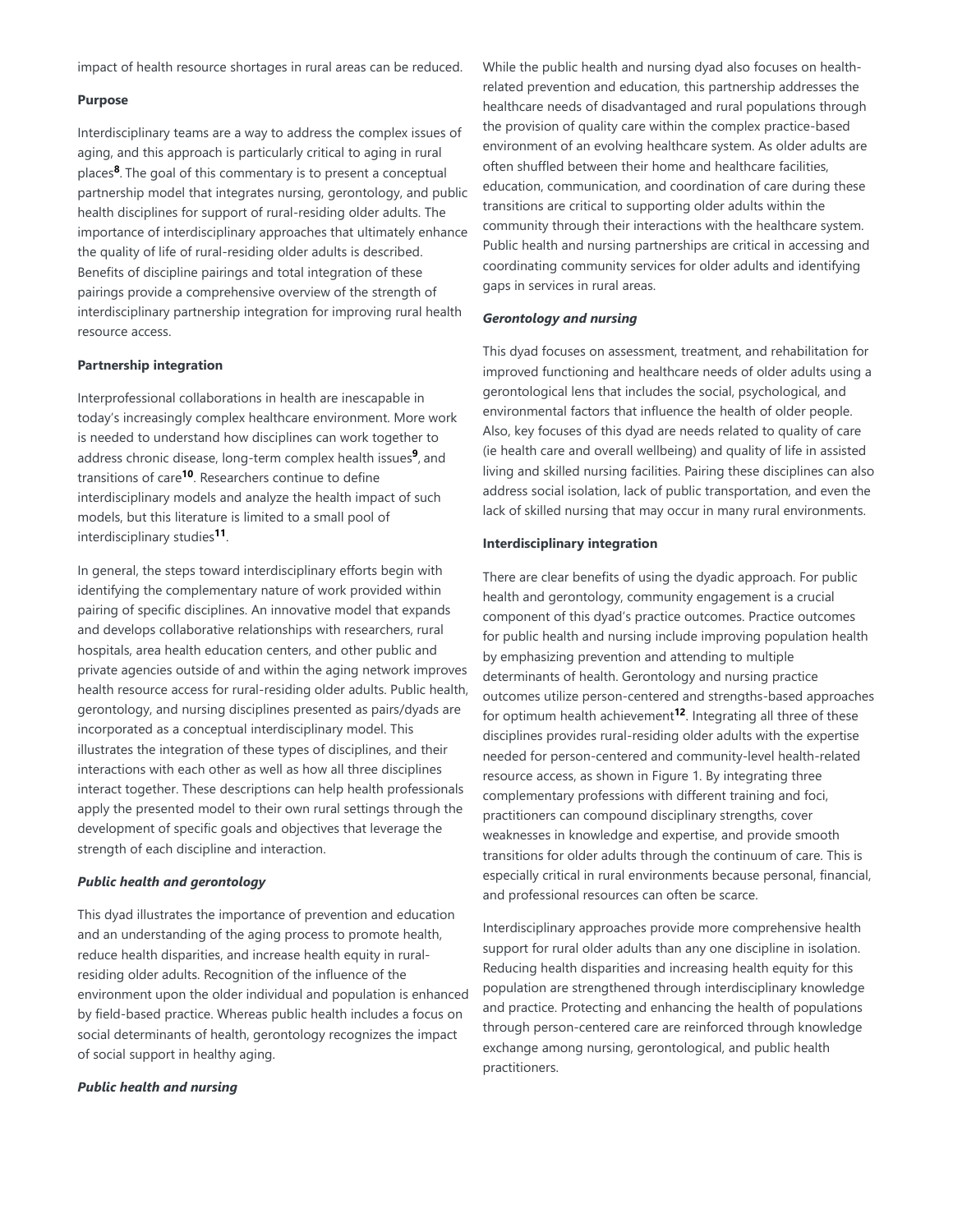impact of health resource shortages in rural areas can be reduced.

#### **Purpose**

Interdisciplinary teams are a way to address the complex issues of aging, and this approach is particularly critical to aging in rural places<sup>8</sup>. The goal of this commentary is to present a conceptual partnership model that integrates nursing, gerontology, and public health disciplines for support of rural-residing older adults. The importance of interdisciplinary approaches that ultimately enhance the quality of life of rural-residing older adults is described. Benefits of discipline pairings and total integration of these pairings provide a comprehensive overview of the strength of interdisciplinary partnership integration for improving rural health resource access.

#### **Partnership integration**

Interprofessional collaborations in health are inescapable in today's increasingly complex healthcare environment. More work is needed to understand how disciplines can work together to address chronic disease, long-term complex health issues<sup>9</sup>, and transitions of care<sup>10</sup>. Researchers continue to define interdisciplinary models and analyze the health impact of such models, but this literature is limited to a small pool of interdisciplinary studies<sup>11</sup>.

In general, the steps toward interdisciplinary efforts begin with identifying the complementary nature of work provided within pairing of specific disciplines. An innovative model that expands and develops collaborative relationships with researchers, rural hospitals, area health education centers, and other public and private agencies outside of and within the aging network improves health resource access for rural-residing older adults. Public health, gerontology, and nursing disciplines presented as pairs/dyads are incorporated as a conceptual interdisciplinary model. This illustrates the integration of these types of disciplines, and their interactions with each other as well as how all three disciplines interact together. These descriptions can help health professionals apply the presented model to their own rural settings through the development of specific goals and objectives that leverage the strength of each discipline and interaction.

#### *Public health and gerontology*

This dyad illustrates the importance of prevention and education and an understanding of the aging process to promote health, reduce health disparities, and increase health equity in ruralresiding older adults. Recognition of the influence of the environment upon the older individual and population is enhanced by field-based practice. Whereas public health includes a focus on social determinants of health, gerontology recognizes the impact of social support in healthy aging.

#### *Public health and nursing*

While the public health and nursing dyad also focuses on healthrelated prevention and education, this partnership addresses the healthcare needs of disadvantaged and rural populations through the provision of quality care within the complex practice-based environment of an evolving healthcare system. As older adults are often shuffled between their home and healthcare facilities, education, communication, and coordination of care during these transitions are critical to supporting older adults within the community through their interactions with the healthcare system. Public health and nursing partnerships are critical in accessing and coordinating community services for older adults and identifying gaps in services in rural areas.

### *Gerontology and nursing*

This dyad focuses on assessment, treatment, and rehabilitation for improved functioning and healthcare needs of older adults using a gerontological lens that includes the social, psychological, and environmental factors that influence the health of older people. Also, key focuses of this dyad are needs related to quality of care (ie health care and overall wellbeing) and quality of life in assisted living and skilled nursing facilities. Pairing these disciplines can also address social isolation, lack of public transportation, and even the lack of skilled nursing that may occur in many rural environments.

#### **Interdisciplinary integration**

There are clear benefits of using the dyadic approach. For public health and gerontology, community engagement is a crucial component of this dyad's practice outcomes. Practice outcomes for public health and nursing include improving population health by emphasizing prevention and attending to multiple determinants of health. Gerontology and nursing practice outcomes utilize person-centered and strengths-based approaches for optimum health achievement<sup>12</sup>. Integrating all three of these disciplines provides rural-residing older adults with the expertise needed for person-centered and community-level health-related resource access, as shown in Figure 1. By integrating three complementary professions with different training and foci, practitioners can compound disciplinary strengths, cover weaknesses in knowledge and expertise, and provide smooth transitions for older adults through the continuum of care. This is especially critical in rural environments because personal, financial, and professional resources can often be scarce.

Interdisciplinary approaches provide more comprehensive health support for rural older adults than any one discipline in isolation. Reducing health disparities and increasing health equity for this population are strengthened through interdisciplinary knowledge and practice. Protecting and enhancing the health of populations through person-centered care are reinforced through knowledge exchange among nursing, gerontological, and public health practitioners.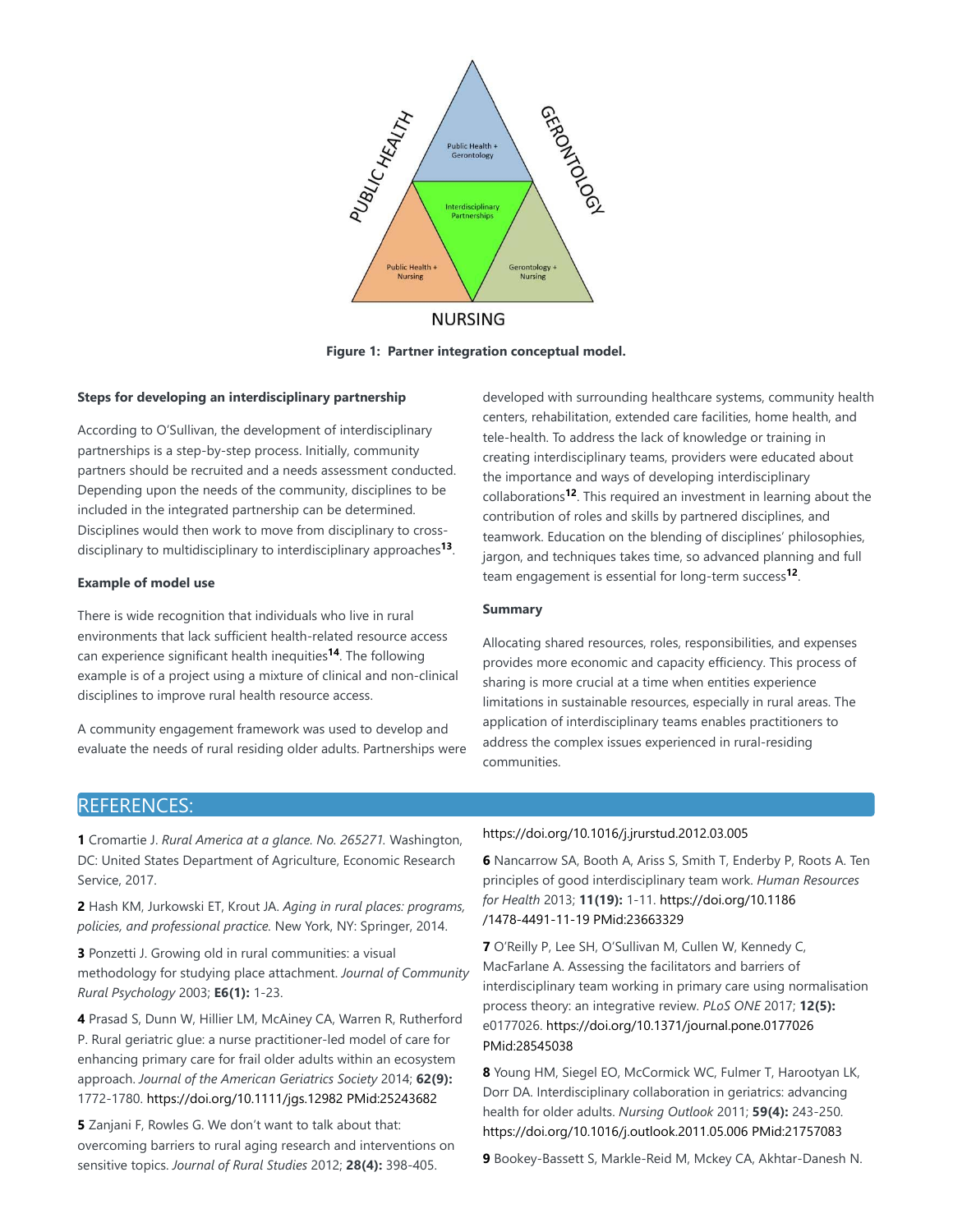

**Figure 1: Partner integration conceptual model.**

#### **Steps for developing an interdisciplinary partnership**

According to O'Sullivan, the development of interdisciplinary partnerships is a step-by-step process. Initially, community partners should be recruited and a needs assessment conducted. Depending upon the needs of the community, disciplines to be included in the integrated partnership can be determined. Disciplines would then work to move from disciplinary to crossdisciplinary to multidisciplinary to interdisciplinary approaches<sup>13</sup>.

### **Example of model use**

There is wide recognition that individuals who live in rural environments that lack sufficient health-related resource access can experience significant health inequities<sup>14</sup>. The following example is of a project using a mixture of clinical and non-clinical disciplines to improve rural health resource access.

A community engagement framework was used to develop and evaluate the needs of rural residing older adults. Partnerships were developed with surrounding healthcare systems, community health centers, rehabilitation, extended care facilities, home health, and tele-health. To address the lack of knowledge or training in creating interdisciplinary teams, providers were educated about the importance and ways of developing interdisciplinary collaborations<sup>12</sup>. This required an investment in learning about the contribution of roles and skills by partnered disciplines, and teamwork. Education on the blending of disciplines' philosophies, jargon, and techniques takes time, so advanced planning and full team engagement is essential for long-term success<sup>12</sup>.

## **Summary**

Allocating shared resources, roles, responsibilities, and expenses provides more economic and capacity efficiency. This process of sharing is more crucial at a time when entities experience limitations in sustainable resources, especially in rural areas. The application of interdisciplinary teams enables practitioners to address the complex issues experienced in rural-residing communities.

## REFERENCES:

**1** Cromartie J. *Rural America at a glance. No. 265271.* Washington, DC: United States Department of Agriculture, Economic Research Service, 2017.

**2** Hash KM, Jurkowski ET, Krout JA. *Aging in rural places: programs, policies, and professional practice.* New York, NY: Springer, 2014.

**3** Ponzetti J. Growing old in rural communities: a visual methodology for studying place attachment. *Journal of Community Rural Psychology* 2003; **E6(1):** 1-23.

**4** Prasad S, Dunn W, Hillier LM, McAiney CA, Warren R, Rutherford P. Rural geriatric glue: a nurse practitioner-led model of care for enhancing primary care for frail older adults within an ecosystem approach. *Journal of the American Geriatrics Society* 2014; **62(9):** 1772-1780. https://doi.org/10.1111/jgs.12982 PMid:25243682

**5** Zanjani F, Rowles G. We don't want to talk about that: overcoming barriers to rural aging research and interventions on sensitive topics. *Journal of Rural Studies* 2012; **28(4):** 398-405.

#### https://doi.org/10.1016/j.jrurstud.2012.03.005

**6** Nancarrow SA, Booth A, Ariss S, Smith T, Enderby P, Roots A. Ten principles of good interdisciplinary team work. *Human Resources for Health* 2013; **11(19):** 1-11. https://doi.org/10.1186 /1478-4491-11-19 PMid:23663329

**7** O'Reilly P, Lee SH, O'Sullivan M, Cullen W, Kennedy C, MacFarlane A. Assessing the facilitators and barriers of interdisciplinary team working in primary care using normalisation process theory: an integrative review. *PLoS ONE* 2017; **12(5):** e0177026. https://doi.org/10.1371/journal.pone.0177026 PMid:28545038

**8** Young HM, Siegel EO, McCormick WC, Fulmer T, Harootyan LK, Dorr DA. Interdisciplinary collaboration in geriatrics: advancing health for older adults. *Nursing Outlook* 2011; **59(4):** 243-250. https://doi.org/10.1016/j.outlook.2011.05.006 PMid:21757083

**9** Bookey-Bassett S, Markle-Reid M, Mckey CA, Akhtar-Danesh N.